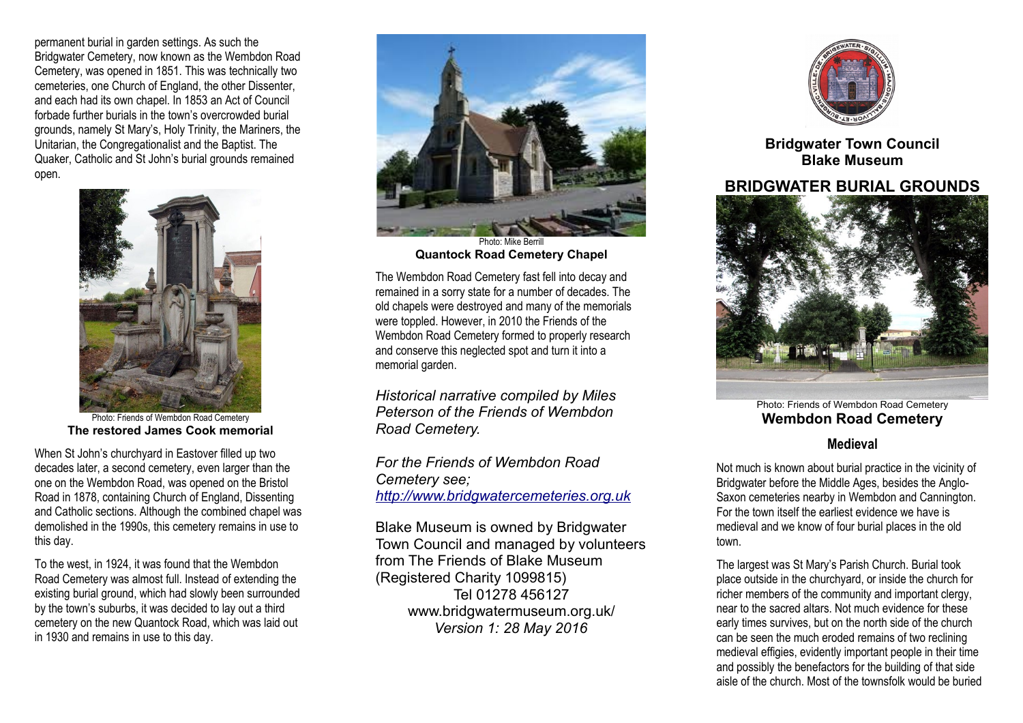permanent burial in garden settings. As such the Bridgwater Cemetery, now known as the Wembdon Road Cemetery, was opened in 1851. This was technically two cemeteries, one Church of England, the other Dissenter, and each had its own chapel. In 1853 an Act of Council forbade further burials in the town's overcrowded burial grounds, namely St Mary's, Holy Trinity, the Mariners, the Unitarian, the Congregationalist and the Baptist. The Quaker, Catholic and St John's burial grounds remained open.



Photo: Friends of Wembdon Road Cemetery **The restored James Cook memorial**

When St John's churchyard in Eastover filled up two decades later, a second cemetery, even larger than the one on the Wembdon Road, was opened on the Bristol Road in 1878, containing Church of England, Dissenting and Catholic sections. Although the combined chapel was demolished in the 1990s, this cemetery remains in use to this day.

To the west, in 1924, it was found that the Wembdon Road Cemetery was almost full. Instead of extending the existing burial ground, which had slowly been surrounded by the town's suburbs, it was decided to lay out a third cemetery on the new Quantock Road, which was laid out in 1930 and remains in use to this day.



Photo: Mike Berrill **Quantock Road Cemetery Chapel**

The Wembdon Road Cemetery fast fell into decay and remained in a sorry state for a number of decades. The old chapels were destroyed and many of the memorials were toppled. However, in 2010 the Friends of the Wembdon Road Cemetery formed to properly research and conserve this neglected spot and turn it into a memorial garden.

*Historical narrative compiled by Miles Peterson of the Friends of Wembdon Road Cemetery.*

*For the Friends of Wembdon Road Cemetery see; [http://www.bridgwatercemeteries.org.uk](http://www.bridgwatercemeteries.org.uk/)*

Blake Museum is owned by Bridgwater Town Council and managed by volunteers from The Friends of Blake Museum (Registered Charity 1099815) Tel 01278 456127 www.bridgwatermuseum.org.uk/ *Version 1: 28 May 2016*



**Bridgwater Town Council Blake Museum**

## **BRIDGWATER BURIAL GROUNDS**



Photo: Friends of Wembdon Road Cemetery **Wembdon Road Cemetery Medieval**

Not much is known about burial practice in the vicinity of Bridgwater before the Middle Ages, besides the Anglo-Saxon cemeteries nearby in Wembdon and Cannington. For the town itself the earliest evidence we have is medieval and we know of four burial places in the old town.

The largest was St Mary's Parish Church. Burial took place outside in the churchyard, or inside the church for richer members of the community and important clergy, near to the sacred altars. Not much evidence for these early times survives, but on the north side of the church can be seen the much eroded remains of two reclining medieval effigies, evidently important people in their time and possibly the benefactors for the building of that side aisle of the church. Most of the townsfolk would be buried